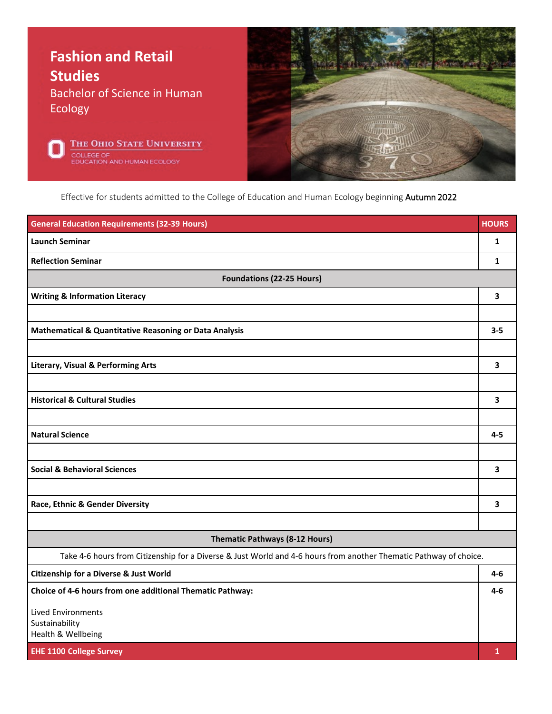





Effective for students admitted to the College of Education and Human Ecology beginning Autumn 2022

| <b>General Education Requirements (32-39 Hours)</b>                                                               | <b>HOURS</b> |  |
|-------------------------------------------------------------------------------------------------------------------|--------------|--|
| <b>Launch Seminar</b>                                                                                             | 1            |  |
| <b>Reflection Seminar</b>                                                                                         | 1            |  |
| <b>Foundations (22-25 Hours)</b>                                                                                  |              |  |
| <b>Writing &amp; Information Literacy</b>                                                                         | 3            |  |
|                                                                                                                   |              |  |
| <b>Mathematical &amp; Quantitative Reasoning or Data Analysis</b>                                                 | $3 - 5$      |  |
|                                                                                                                   |              |  |
| <b>Literary, Visual &amp; Performing Arts</b>                                                                     | 3            |  |
|                                                                                                                   |              |  |
| <b>Historical &amp; Cultural Studies</b>                                                                          | 3            |  |
|                                                                                                                   |              |  |
| <b>Natural Science</b>                                                                                            | $4 - 5$      |  |
|                                                                                                                   |              |  |
| <b>Social &amp; Behavioral Sciences</b>                                                                           | 3            |  |
|                                                                                                                   |              |  |
| Race, Ethnic & Gender Diversity                                                                                   | 3            |  |
|                                                                                                                   |              |  |
| Thematic Pathways (8-12 Hours)                                                                                    |              |  |
| Take 4-6 hours from Citizenship for a Diverse & Just World and 4-6 hours from another Thematic Pathway of choice. |              |  |
| <b>Citizenship for a Diverse &amp; Just World</b>                                                                 | 4-6          |  |
| Choice of 4-6 hours from one additional Thematic Pathway:                                                         | $4-6$        |  |
| <b>Lived Environments</b>                                                                                         |              |  |
| Sustainability<br>Health & Wellbeing                                                                              |              |  |
| <b>EHE 1100 College Survey</b>                                                                                    | $\mathbf{1}$ |  |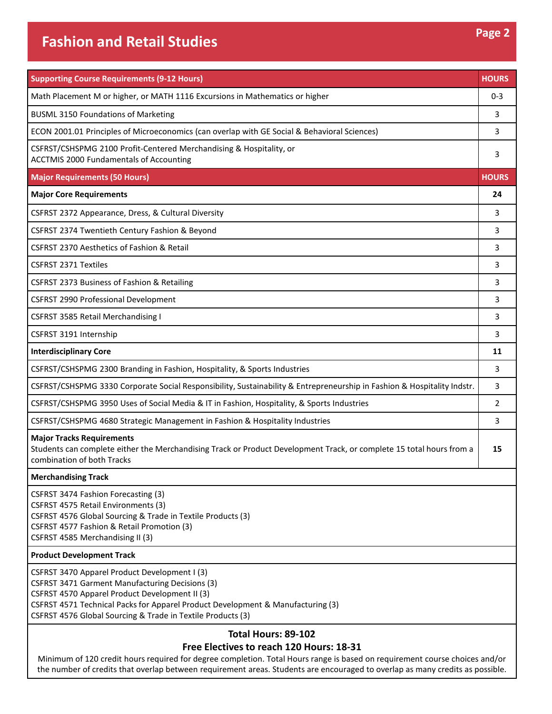| <b>Supporting Course Requirements (9-12 Hours)</b>                                                                                                                                                                                                                                                   | <b>HOURS</b> |
|------------------------------------------------------------------------------------------------------------------------------------------------------------------------------------------------------------------------------------------------------------------------------------------------------|--------------|
| Math Placement M or higher, or MATH 1116 Excursions in Mathematics or higher                                                                                                                                                                                                                         | $0 - 3$      |
| <b>BUSML 3150 Foundations of Marketing</b>                                                                                                                                                                                                                                                           | 3            |
| ECON 2001.01 Principles of Microeconomics (can overlap with GE Social & Behavioral Sciences)                                                                                                                                                                                                         | 3            |
| CSFRST/CSHSPMG 2100 Profit-Centered Merchandising & Hospitality, or<br><b>ACCTMIS 2000 Fundamentals of Accounting</b>                                                                                                                                                                                | 3            |
| <b>Major Requirements (50 Hours)</b>                                                                                                                                                                                                                                                                 | <b>HOURS</b> |
| <b>Major Core Requirements</b>                                                                                                                                                                                                                                                                       | 24           |
| CSFRST 2372 Appearance, Dress, & Cultural Diversity                                                                                                                                                                                                                                                  | 3            |
| CSFRST 2374 Twentieth Century Fashion & Beyond                                                                                                                                                                                                                                                       | 3            |
| CSFRST 2370 Aesthetics of Fashion & Retail                                                                                                                                                                                                                                                           | 3            |
| <b>CSFRST 2371 Textiles</b>                                                                                                                                                                                                                                                                          | 3            |
| CSFRST 2373 Business of Fashion & Retailing                                                                                                                                                                                                                                                          | 3            |
| CSFRST 2990 Professional Development                                                                                                                                                                                                                                                                 | 3            |
| CSFRST 3585 Retail Merchandising I                                                                                                                                                                                                                                                                   | 3            |
| CSFRST 3191 Internship                                                                                                                                                                                                                                                                               | 3            |
| <b>Interdisciplinary Core</b>                                                                                                                                                                                                                                                                        | 11           |
| CSFRST/CSHSPMG 2300 Branding in Fashion, Hospitality, & Sports Industries                                                                                                                                                                                                                            | 3            |
| CSFRST/CSHSPMG 3330 Corporate Social Responsibility, Sustainability & Entrepreneurship in Fashion & Hospitality Indstr.                                                                                                                                                                              | 3            |
| CSFRST/CSHSPMG 3950 Uses of Social Media & IT in Fashion, Hospitality, & Sports Industries                                                                                                                                                                                                           | 2            |
| CSFRST/CSHSPMG 4680 Strategic Management in Fashion & Hospitality Industries                                                                                                                                                                                                                         | 3            |
| <b>Major Tracks Requirements</b><br>Students can complete either the Merchandising Track or Product Development Track, or complete 15 total hours from a<br>combination of both Tracks                                                                                                               | 15           |
| <b>Merchandising Track</b>                                                                                                                                                                                                                                                                           |              |
| CSFRST 3474 Fashion Forecasting (3)<br>CSFRST 4575 Retail Environments (3)<br>CSFRST 4576 Global Sourcing & Trade in Textile Products (3)<br>CSFRST 4577 Fashion & Retail Promotion (3)<br>CSFRST 4585 Merchandising II (3)                                                                          |              |
| <b>Product Development Track</b>                                                                                                                                                                                                                                                                     |              |
| CSFRST 3470 Apparel Product Development I (3)<br>CSFRST 3471 Garment Manufacturing Decisions (3)<br>CSFRST 4570 Apparel Product Development II (3)<br>CSFRST 4571 Technical Packs for Apparel Product Development & Manufacturing (3)<br>CSFRST 4576 Global Sourcing & Trade in Textile Products (3) |              |
| Total Hours: 89-102<br>Free Electives to reach 120 Hours: 18-31                                                                                                                                                                                                                                      |              |

Minimum of 120 credit hours required for degree completion. Total Hours range is based on requirement course choices and/or the number of credits that overlap between requirement areas. Students are encouraged to overlap as many credits as possible.